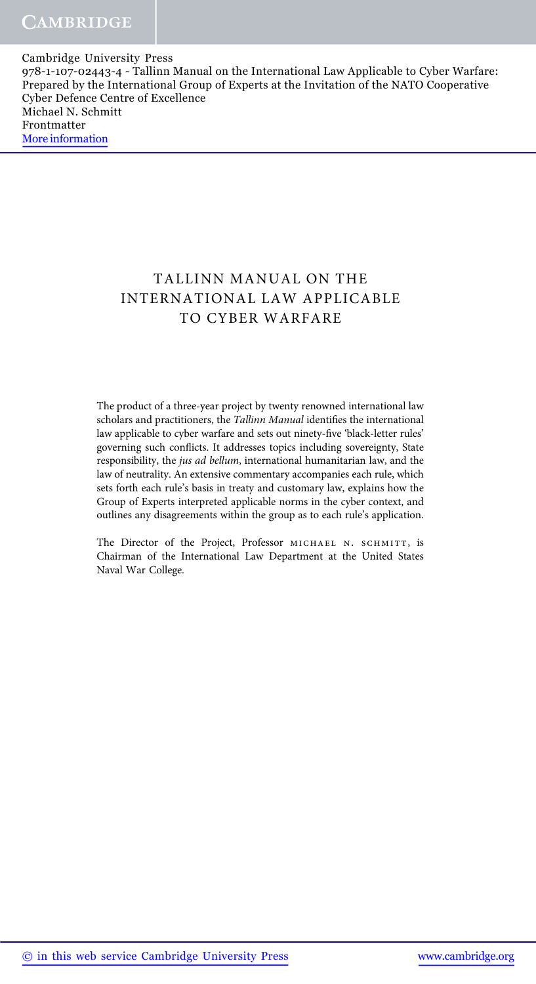978-1-107-02443-4 - Tallinn Manual on the International Law Applicable to Cyber Warfare: Prepared by the International Group of Experts at the Invitation of the NATO Cooperative Cyber Defence Centre of Excellence Michael N. Schmitt Frontmatter More information

# TALLINN MANUAL ON THE INTERNATIONAL LAW APPLICABLE TO CYBER WARFARE

The product of a three-year project by twenty renowned international law scholars and practitioners, the Tallinn Manual identifies the international law applicable to cyber warfare and sets out ninety-five 'black-letter rules' governing such conflicts. It addresses topics including sovereignty, State responsibility, the *jus ad bellum*, international humanitarian law, and the law of neutrality. An extensive commentary accompanies each rule, which sets forth each rule's basis in treaty and customary law, explains how the Group of Experts interpreted applicable norms in the cyber context, and outlines any disagreements within the group as to each rule's application.

The Director of the Project, Professor MICHAEL N. SCHMITT, is Chairman of the International Law Department at the United States Naval War College.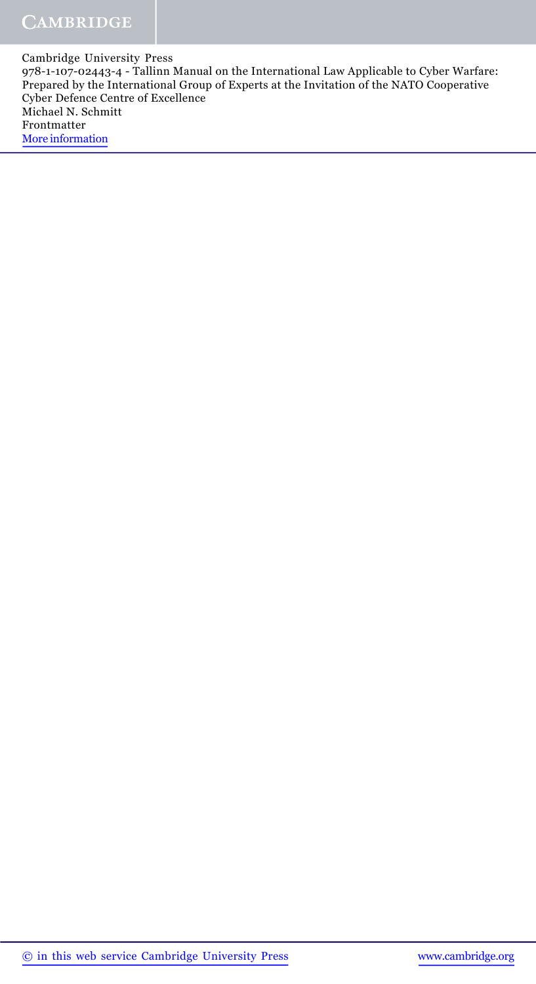978-1-107-02443-4 - Tallinn Manual on the International Law Applicable to Cyber Warfare: Prepared by the International Group of Experts at the Invitation of the NATO Cooperative Cyber Defence Centre of Excellence Michael N. Schmitt Frontmatter More information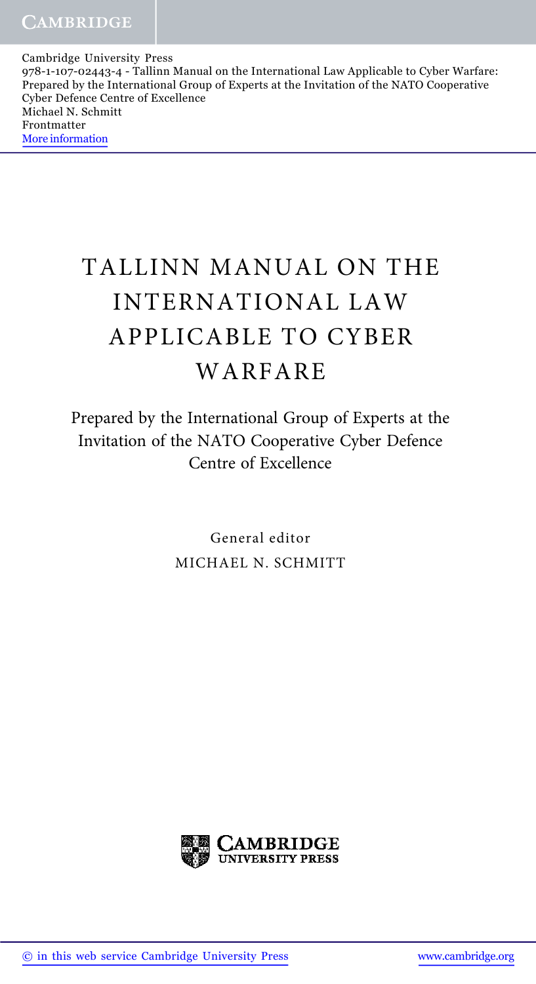Cambridge University Press 978-1-107-02443-4 - Tallinn Manual on the International Law Applicable to Cyber Warfare: Prepared by the International Group of Experts at the Invitation of the NATO Cooperative Cyber Defence Centre of Excellence Michael N. Schmitt Frontmatter More information

# TALLINN MANUAL ON THE INTERNATIONAL LAW APPLICABLE TO CYBER WARFARE

Prepared by the International Group of Experts at the Invitation of the NATO Cooperative Cyber Defence Centre of Excellence

> General editor MICHAEL N. SCHMITT



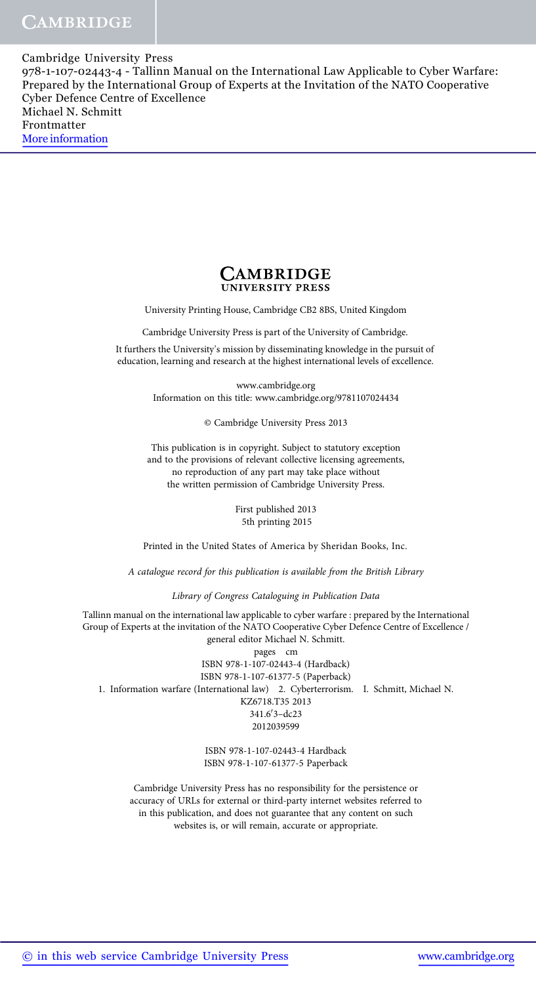978-1-107-02443-4 - Tallinn Manual on the International Law Applicable to Cyber Warfare: Prepared by the International Group of Experts at the Invitation of the NATO Cooperative Cyber Defence Centre of Excellence Michael N. Schmitt Frontmatter More information

# **CAMBRIDGE UNIVERSITY PRESS**

University Printing House, Cambridge CB2 8BS, United Kingdom

Cambridge University Press is part of the University of Cambridge.

It furthers the University's mission by disseminating knowledge in the pursuit of education, learning and research at the highest international levels of excellence.

> www.cambridge.org Information on this title: www.cambridge.org/9781107024434

> > © Cambridge University Press 2013

This publication is in copyright. Subject to statutory exception and to the provisions of relevant collective licensing agreements, no reproduction of any part may take place without the written permission of Cambridge University Press.

> First published 2013 5th printing 2015

Printed in the United States of America by Sheridan Books, Inc.

A catalogue record for this publication is available from the British Library

Library of Congress Cataloguing in Publication Data

Tallinn manual on the international law applicable to cyber warfare : prepared by the International Group of Experts at the invitation of the NATO Cooperative Cyber Defence Centre of Excellence / general editor Michael N. Schmitt.

pages cm ISBN 978-1-107-02443-4 (Hardback) ISBN 978-1-107-61377-5 (Paperback) 1. Information warfare (International law) 2. Cyberterrorism. I. Schmitt, Michael N. KZ6718.T35 2013 341.6<sup>'</sup>3-dc23

2012039599

ISBN 978-1-107-02443-4 Hardback ISBN 978-1-107-61377-5 Paperback

Cambridge University Press has no responsibility for the persistence or accuracy of URLs for external or third-party internet websites referred to in this publication, and does not guarantee that any content on such websites is, or will remain, accurate or appropriate.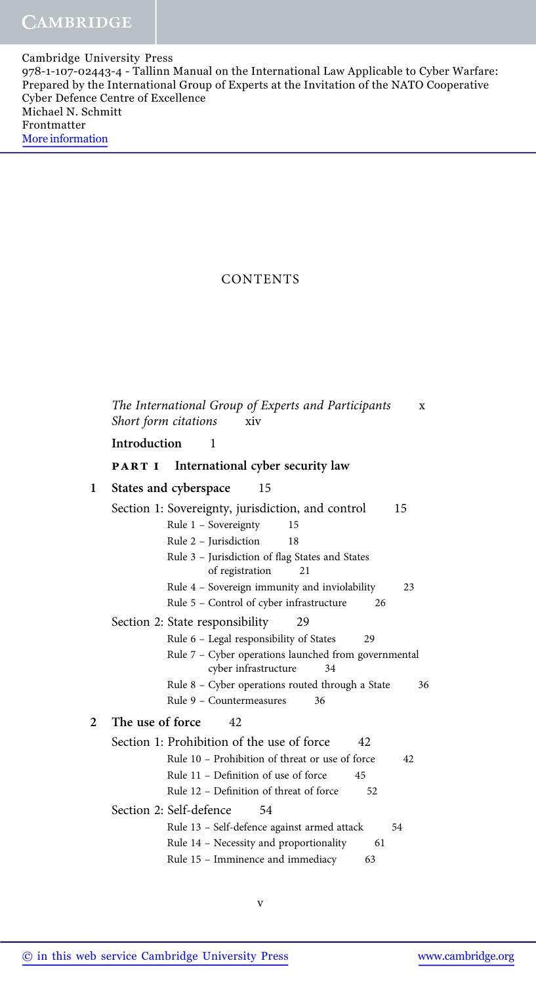978-1-107-02443-4 - Tallinn Manual on the International Law Applicable to Cyber Warfare: Prepared by the International Group of Experts at the Invitation of the NATO Cooperative Cyber Defence Centre of Excellence Michael N. Schmitt Frontmatter More information

# **CONTENTS**

|   | The International Group of Experts and Participants<br>X<br>Short form citations<br>xiv                                                                                                                                                                                                                                                                                                                                                                                                   |
|---|-------------------------------------------------------------------------------------------------------------------------------------------------------------------------------------------------------------------------------------------------------------------------------------------------------------------------------------------------------------------------------------------------------------------------------------------------------------------------------------------|
|   | Introduction<br>1                                                                                                                                                                                                                                                                                                                                                                                                                                                                         |
|   | International cyber security law<br>PART I                                                                                                                                                                                                                                                                                                                                                                                                                                                |
| 1 | States and cyberspace<br>15                                                                                                                                                                                                                                                                                                                                                                                                                                                               |
|   | Section 1: Sovereignty, jurisdiction, and control<br>15<br>Rule 1 - Sovereignty<br>15<br>Rule 2 - Jurisdiction<br>18<br>Rule 3 - Jurisdiction of flag States and States<br>of registration<br>21<br>Rule 4 - Sovereign immunity and inviolability<br>23<br>Rule 5 - Control of cyber infrastructure<br>26<br>Section 2: State responsibility<br>29<br>Rule 6 - Legal responsibility of States<br>29<br>Rule 7 - Cyber operations launched from governmental<br>cyber infrastructure<br>34 |
|   | Rule 8 – Cyber operations routed through a State<br>36<br>Rule 9 - Countermeasures<br>36                                                                                                                                                                                                                                                                                                                                                                                                  |
| 2 | The use of force<br>42                                                                                                                                                                                                                                                                                                                                                                                                                                                                    |
|   | Section 1: Prohibition of the use of force<br>42<br>Rule 10 - Prohibition of threat or use of force<br>42<br>Rule 11 - Definition of use of force<br>45<br>Rule 12 - Definition of threat of force<br>52                                                                                                                                                                                                                                                                                  |
|   | Section 2: Self-defence<br>54<br>Rule 13 - Self-defence against armed attack<br>54<br>Rule 14 - Necessity and proportionality<br>61<br>Rule 15 - Imminence and immediacy<br>63                                                                                                                                                                                                                                                                                                            |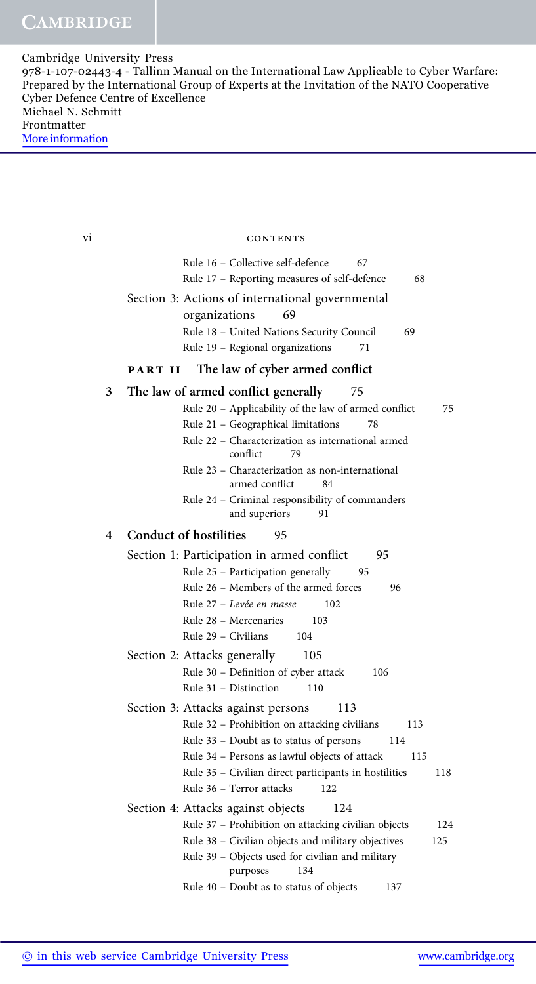978-1-107-02443-4 - Tallinn Manual on the International Law Applicable to Cyber Warfare: Prepared by the International Group of Experts at the Invitation of the NATO Cooperative Cyber Defence Centre of Excellence Michael N. Schmitt Frontmatter More information

# vi CONTENTS

|   | Rule 16 - Collective self-defence<br>67                                 |     |
|---|-------------------------------------------------------------------------|-----|
|   | Rule 17 - Reporting measures of self-defence<br>68                      |     |
|   | Section 3: Actions of international governmental<br>organizations<br>69 |     |
|   | Rule 18 - United Nations Security Council<br>69                         |     |
|   | Rule 19 - Regional organizations<br>71                                  |     |
|   | The law of cyber armed conflict<br>PART II                              |     |
| 3 | The law of armed conflict generally<br>75                               |     |
|   | Rule 20 - Applicability of the law of armed conflict                    | 75  |
|   | Rule 21 - Geographical limitations<br>78                                |     |
|   | Rule 22 - Characterization as international armed<br>conflict<br>79     |     |
|   | Rule 23 - Characterization as non-international<br>armed conflict<br>84 |     |
|   | Rule 24 - Criminal responsibility of commanders<br>and superiors<br>91  |     |
| 4 | <b>Conduct of hostilities</b><br>95                                     |     |
|   | Section 1: Participation in armed conflict<br>95                        |     |
|   | Rule 25 - Participation generally<br>95                                 |     |
|   | Rule 26 - Members of the armed forces<br>96                             |     |
|   | Rule 27 - Levée en masse<br>102                                         |     |
|   | Rule 28 - Mercenaries<br>103                                            |     |
|   | Rule 29 - Civilians<br>104                                              |     |
|   | Section 2: Attacks generally<br>105                                     |     |
|   | Rule 30 - Definition of cyber attack<br>106                             |     |
|   | Rule 31 - Distinction<br>110                                            |     |
|   | Section 3: Attacks against persons<br>113                               |     |
|   | Rule 32 - Prohibition on attacking civilians<br>113                     |     |
|   | Rule 33 - Doubt as to status of persons<br>114                          |     |
|   | Rule 34 - Persons as lawful objects of attack<br>115                    |     |
|   | Rule 35 - Civilian direct participants in hostilities<br>118            |     |
|   | Rule 36 - Terror attacks<br>122                                         |     |
|   | Section 4: Attacks against objects<br>124                               |     |
|   | Rule 37 - Prohibition on attacking civilian objects                     | 124 |
|   | Rule 38 - Civilian objects and military objectives<br>125               |     |
|   | Rule 39 - Objects used for civilian and military<br>purposes<br>134     |     |
|   | Rule 40 - Doubt as to status of objects<br>137                          |     |
|   |                                                                         |     |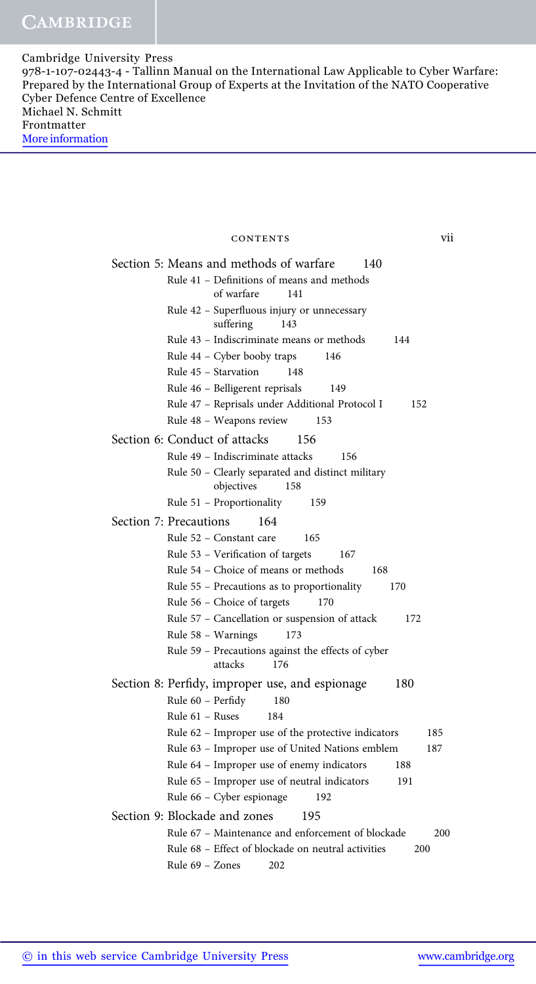978-1-107-02443-4 - Tallinn Manual on the International Law Applicable to Cyber Warfare: Prepared by the International Group of Experts at the Invitation of the NATO Cooperative Cyber Defence Centre of Excellence Michael N. Schmitt Frontmatter More information

| CONTENTS                                                                                                          | vii |
|-------------------------------------------------------------------------------------------------------------------|-----|
| Section 5: Means and methods of warfare<br>140<br>Rule 41 - Definitions of means and methods<br>of warfare<br>141 |     |
| Rule 42 - Superfluous injury or unnecessary<br>suffering<br>143                                                   |     |
| Rule 43 - Indiscriminate means or methods<br>144                                                                  |     |
| Rule 44 - Cyber booby traps<br>146                                                                                |     |
| Rule 45 - Starvation<br>148                                                                                       |     |
| Rule 46 – Belligerent reprisals<br>149                                                                            |     |
| Rule 47 - Reprisals under Additional Protocol I<br>152                                                            |     |
| Rule 48 - Weapons review<br>153                                                                                   |     |
| Section 6: Conduct of attacks<br>156                                                                              |     |
| Rule 49 - Indiscriminate attacks<br>156                                                                           |     |
| Rule 50 - Clearly separated and distinct military<br>objectives<br>158                                            |     |
| Rule 51 - Proportionality<br>159                                                                                  |     |
| Section 7: Precautions<br>164                                                                                     |     |
| Rule 52 - Constant care<br>165                                                                                    |     |
| Rule 53 - Verification of targets<br>167                                                                          |     |
| Rule 54 – Choice of means or methods<br>168                                                                       |     |
| Rule 55 - Precautions as to proportionality<br>170                                                                |     |
| Rule 56 – Choice of targets<br>170                                                                                |     |
| Rule 57 - Cancellation or suspension of attack<br>172                                                             |     |
| Rule 58 - Warnings<br>173                                                                                         |     |
| Rule 59 - Precautions against the effects of cyber<br>attacks<br>176                                              |     |
| Section 8: Perfidy, improper use, and espionage<br>180                                                            |     |
| Rule 60 - Perfidy<br>180                                                                                          |     |
| Rule 61 - Ruses<br>184                                                                                            |     |
| Rule 62 - Improper use of the protective indicators                                                               | 185 |
| Rule 63 - Improper use of United Nations emblem                                                                   | 187 |
| Rule 64 - Improper use of enemy indicators<br>188                                                                 |     |
| Rule 65 - Improper use of neutral indicators<br>191                                                               |     |
| Rule 66 – Cyber espionage<br>192                                                                                  |     |
| Section 9: Blockade and zones<br>195                                                                              |     |
| Rule 67 - Maintenance and enforcement of blockade                                                                 | 200 |
| Rule 68 - Effect of blockade on neutral activities<br>200                                                         |     |
| Rule 69 - Zones<br>202                                                                                            |     |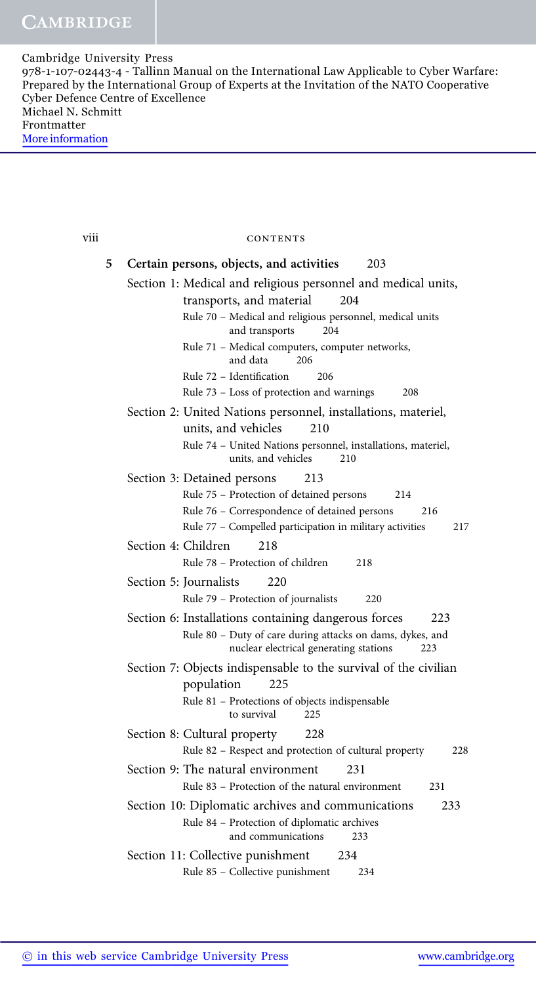978-1-107-02443-4 - Tallinn Manual on the International Law Applicable to Cyber Warfare: Prepared by the International Group of Experts at the Invitation of the NATO Cooperative Cyber Defence Centre of Excellence Michael N. Schmitt Frontmatter More information

# viii contents

| 5 | Certain persons, objects, and activities<br>203                                                                                                             |
|---|-------------------------------------------------------------------------------------------------------------------------------------------------------------|
|   | Section 1: Medical and religious personnel and medical units,                                                                                               |
|   | transports, and material<br>204<br>Rule 70 - Medical and religious personnel, medical units<br>and transports<br>204                                        |
|   | Rule 71 - Medical computers, computer networks,<br>and data<br>206                                                                                          |
|   | Rule 72 - Identification<br>206                                                                                                                             |
|   | Rule 73 - Loss of protection and warnings<br>208                                                                                                            |
|   | Section 2: United Nations personnel, installations, materiel,<br>units, and vehicles<br>210<br>Rule 74 - United Nations personnel, installations, materiel, |
|   | units, and vehicles<br>210                                                                                                                                  |
|   | Section 3: Detained persons<br>213                                                                                                                          |
|   | Rule 75 - Protection of detained persons<br>214                                                                                                             |
|   | Rule 76 - Correspondence of detained persons<br>216                                                                                                         |
|   | Rule 77 - Compelled participation in military activities<br>217                                                                                             |
|   | Section 4: Children<br>218                                                                                                                                  |
|   | Rule 78 - Protection of children<br>218                                                                                                                     |
|   | Section 5: Journalists<br>220                                                                                                                               |
|   | Rule 79 - Protection of journalists<br>220                                                                                                                  |
|   | Section 6: Installations containing dangerous forces<br>223                                                                                                 |
|   | Rule 80 - Duty of care during attacks on dams, dykes, and<br>nuclear electrical generating stations<br>223                                                  |
|   | Section 7: Objects indispensable to the survival of the civilian                                                                                            |
|   | population<br>225                                                                                                                                           |
|   | Rule 81 - Protections of objects indispensable<br>to survival<br>225                                                                                        |
|   | Section 8: Cultural property<br>228                                                                                                                         |
|   | Rule 82 - Respect and protection of cultural property<br>228                                                                                                |
|   | Section 9: The natural environment<br>231                                                                                                                   |
|   | Rule 83 – Protection of the natural environment<br>231                                                                                                      |
|   | Section 10: Diplomatic archives and communications<br>233                                                                                                   |
|   | Rule 84 - Protection of diplomatic archives<br>and communications<br>233                                                                                    |
|   | Section 11: Collective punishment<br>234                                                                                                                    |
|   | Rule 85 - Collective punishment<br>234                                                                                                                      |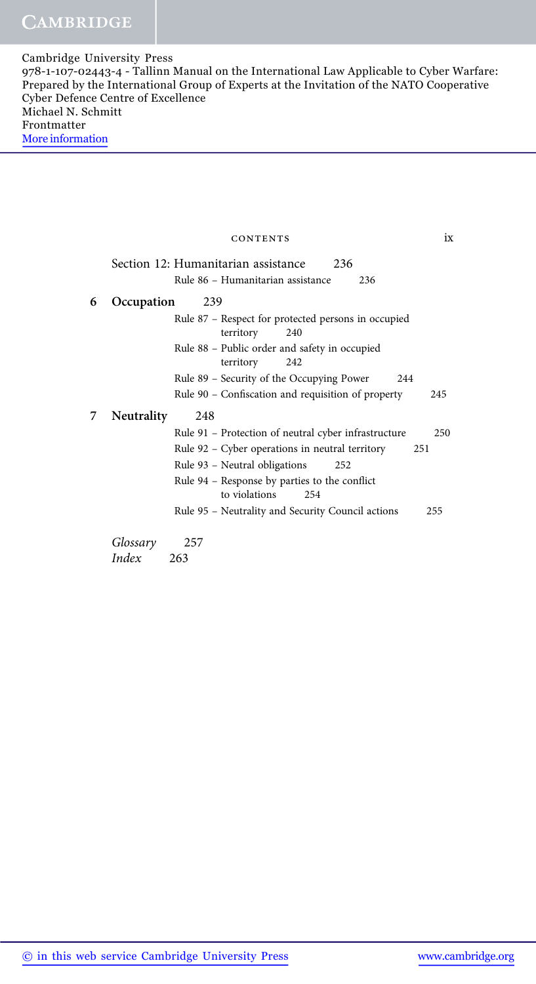978-1-107-02443-4 - Tallinn Manual on the International Law Applicable to Cyber Warfare: Prepared by the International Group of Experts at the Invitation of the NATO Cooperative Cyber Defence Centre of Excellence Michael N. Schmitt Frontmatter More information

|   |                   | CONTENTS                                                                               | ix  |
|---|-------------------|----------------------------------------------------------------------------------------|-----|
|   |                   | Section 12: Humanitarian assistance<br>236<br>Rule 86 - Humanitarian assistance<br>236 |     |
| 6 | Occupation        | 239                                                                                    |     |
|   |                   | Rule 87 – Respect for protected persons in occupied<br>territory<br>240                |     |
|   |                   | Rule 88 – Public order and safety in occupied<br>territory<br>242                      |     |
|   |                   | Rule 89 – Security of the Occupying Power<br>244                                       |     |
|   |                   | Rule 90 – Confiscation and requisition of property                                     | 245 |
| 7 | <b>Neutrality</b> | 248                                                                                    |     |
|   |                   | Rule 91 – Protection of neutral cyber infrastructure                                   | 250 |
|   |                   | Rule 92 – Cyber operations in neutral territory                                        | 251 |
|   |                   | Rule 93 – Neutral obligations<br>252                                                   |     |
|   |                   | Rule 94 – Response by parties to the conflict<br>to violations<br>254                  |     |
|   |                   | Rule 95 – Neutrality and Security Council actions                                      | 255 |
|   |                   |                                                                                        |     |

Glossary 257 Index 263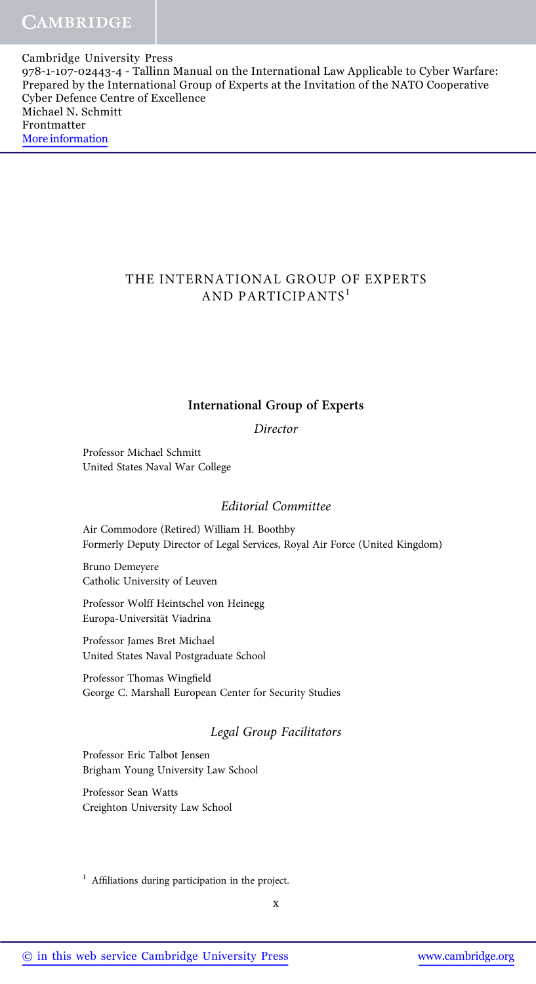978-1-107-02443-4 - Tallinn Manual on the International Law Applicable to Cyber Warfare: Prepared by the International Group of Experts at the Invitation of the NATO Cooperative Cyber Defence Centre of Excellence Michael N. Schmitt Frontmatter More information

# THE INTERNATIONAL GROUP OF EXPERTS AND PARTICIPANTS<sup>1</sup>

# International Group of Experts

Director

Professor Michael Schmitt United States Naval War College

# Editorial Committee

Air Commodore (Retired) William H. Boothby Formerly Deputy Director of Legal Services, Royal Air Force (United Kingdom)

Bruno Demeyere Catholic University of Leuven

Professor Wolff Heintschel von Heinegg Europa-Universität Viadrina

Professor James Bret Michael United States Naval Postgraduate School

Professor Thomas Wingfield George C. Marshall European Center for Security Studies

# Legal Group Facilitators

Professor Eric Talbot Jensen Brigham Young University Law School

Professor Sean Watts Creighton University Law School

<sup>1</sup> Affiliations during participation in the project.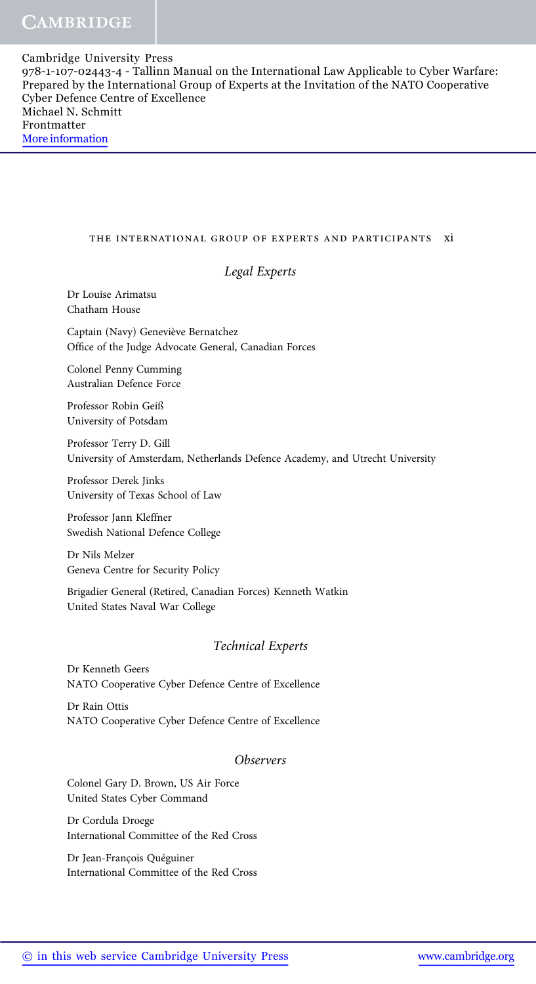978-1-107-02443-4 - Tallinn Manual on the International Law Applicable to Cyber Warfare: Prepared by the International Group of Experts at the Invitation of the NATO Cooperative Cyber Defence Centre of Excellence Michael N. Schmitt Frontmatter More information

#### the international group of experts and participants xi

# Legal Experts

Dr Louise Arimatsu Chatham House

Captain (Navy) Geneviève Bernatchez Office of the Judge Advocate General, Canadian Forces

Colonel Penny Cumming Australian Defence Force

Professor Robin Geiß University of Potsdam

Professor Terry D. Gill University of Amsterdam, Netherlands Defence Academy, and Utrecht University

Professor Derek Jinks University of Texas School of Law

Professor Jann Kleffner Swedish National Defence College

Dr Nils Melzer Geneva Centre for Security Policy

Brigadier General (Retired, Canadian Forces) Kenneth Watkin United States Naval War College

# Technical Experts

Dr Kenneth Geers NATO Cooperative Cyber Defence Centre of Excellence

Dr Rain Ottis NATO Cooperative Cyber Defence Centre of Excellence

# **Observers**

Colonel Gary D. Brown, US Air Force United States Cyber Command

Dr Cordula Droege International Committee of the Red Cross

Dr Jean-François Quéguiner International Committee of the Red Cross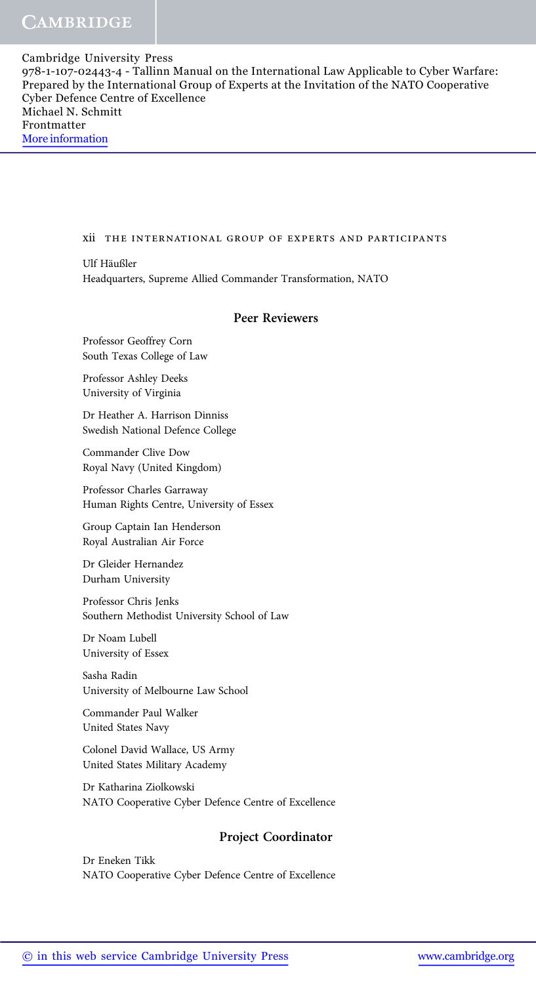978-1-107-02443-4 - Tallinn Manual on the International Law Applicable to Cyber Warfare: Prepared by the International Group of Experts at the Invitation of the NATO Cooperative Cyber Defence Centre of Excellence Michael N. Schmitt Frontmatter More information

#### xii the international group of experts and participants

Ulf Häußler Headquarters, Supreme Allied Commander Transformation, NATO

# Peer Reviewers

Professor Geoffrey Corn South Texas College of Law

Professor Ashley Deeks University of Virginia

Dr Heather A. Harrison Dinniss Swedish National Defence College

Commander Clive Dow Royal Navy (United Kingdom)

Professor Charles Garraway Human Rights Centre, University of Essex

Group Captain Ian Henderson Royal Australian Air Force

Dr Gleider Hernandez Durham University

Professor Chris Jenks Southern Methodist University School of Law

Dr Noam Lubell University of Essex

Sasha Radin University of Melbourne Law School

Commander Paul Walker United States Navy

Colonel David Wallace, US Army United States Military Academy

Dr Katharina Ziolkowski NATO Cooperative Cyber Defence Centre of Excellence

# Project Coordinator

Dr Eneken Tikk NATO Cooperative Cyber Defence Centre of Excellence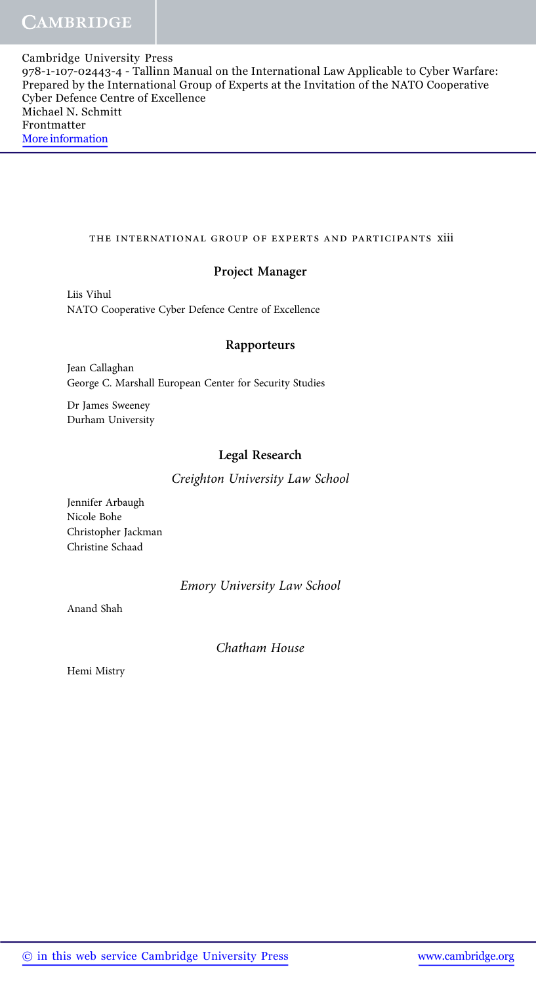978-1-107-02443-4 - Tallinn Manual on the International Law Applicable to Cyber Warfare: Prepared by the International Group of Experts at the Invitation of the NATO Cooperative Cyber Defence Centre of Excellence Michael N. Schmitt Frontmatter More information

#### the international group of experts and participants xiii

## Project Manager

Liis Vihul NATO Cooperative Cyber Defence Centre of Excellence

## Rapporteurs

Jean Callaghan George C. Marshall European Center for Security Studies

Dr James Sweeney Durham University

# Legal Research

Creighton University Law School

Jennifer Arbaugh Nicole Bohe Christopher Jackman Christine Schaad

Emory University Law School

Anand Shah

Chatham House

Hemi Mistry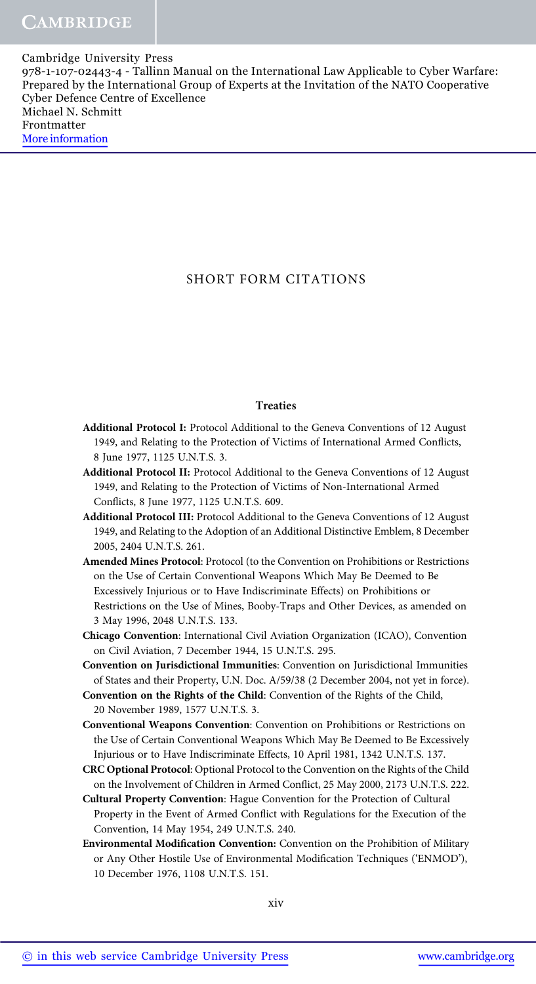978-1-107-02443-4 - Tallinn Manual on the International Law Applicable to Cyber Warfare: Prepared by the International Group of Experts at the Invitation of the NATO Cooperative Cyber Defence Centre of Excellence Michael N. Schmitt Frontmatter More information

# SHORT FORM CITATIONS

#### **Treaties**

- Additional Protocol I: Protocol Additional to the Geneva Conventions of 12 August 1949, and Relating to the Protection of Victims of International Armed Conflicts, 8 June 1977, 1125 U.N.T.S. 3.
- Additional Protocol II: Protocol Additional to the Geneva Conventions of 12 August 1949, and Relating to the Protection of Victims of Non-International Armed Conflicts, 8 June 1977, 1125 U.N.T.S. 609.
- Additional Protocol III: Protocol Additional to the Geneva Conventions of 12 August 1949, and Relating to the Adoption of an Additional Distinctive Emblem, 8 December 2005, 2404 U.N.T.S. 261.
- Amended Mines Protocol: Protocol (to the Convention on Prohibitions or Restrictions on the Use of Certain Conventional Weapons Which May Be Deemed to Be Excessively Injurious or to Have Indiscriminate Effects) on Prohibitions or Restrictions on the Use of Mines, Booby-Traps and Other Devices, as amended on 3 May 1996, 2048 U.N.T.S. 133.
- Chicago Convention: International Civil Aviation Organization (ICAO), Convention on Civil Aviation, 7 December 1944, 15 U.N.T.S. 295.
- Convention on Jurisdictional Immunities: Convention on Jurisdictional Immunities of States and their Property, U.N. Doc. A/59/38 (2 December 2004, not yet in force).
- Convention on the Rights of the Child: Convention of the Rights of the Child, 20 November 1989, 1577 U.N.T.S. 3.
- Conventional Weapons Convention: Convention on Prohibitions or Restrictions on the Use of Certain Conventional Weapons Which May Be Deemed to Be Excessively Injurious or to Have Indiscriminate Effects, 10 April 1981, 1342 U.N.T.S. 137.
- CRC Optional Protocol: Optional Protocol to the Convention on the Rights of the Child on the Involvement of Children in Armed Conflict, 25 May 2000, 2173 U.N.T.S. 222.
- Cultural Property Convention: Hague Convention for the Protection of Cultural Property in the Event of Armed Conflict with Regulations for the Execution of the Convention, 14 May 1954, 249 U.N.T.S. 240.
- Environmental Modification Convention: Convention on the Prohibition of Military or Any Other Hostile Use of Environmental Modification Techniques ('ENMOD'), 10 December 1976, 1108 U.N.T.S. 151.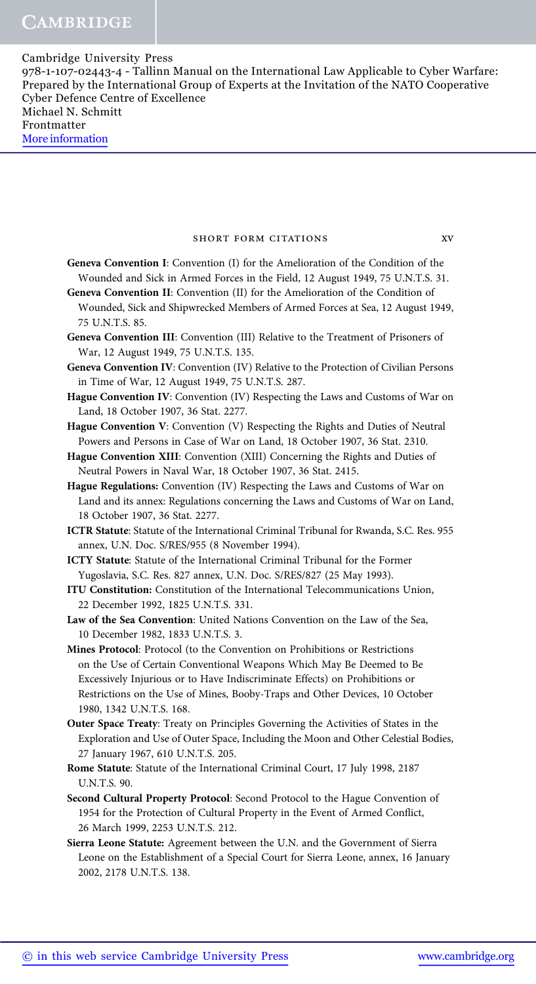978-1-107-02443-4 - Tallinn Manual on the International Law Applicable to Cyber Warfare: Prepared by the International Group of Experts at the Invitation of the NATO Cooperative Cyber Defence Centre of Excellence Michael N. Schmitt Frontmatter More information

#### short form citations xv

Geneva Convention I: Convention (I) for the Amelioration of the Condition of the Wounded and Sick in Armed Forces in the Field, 12 August 1949, 75 U.N.T.S. 31.

Geneva Convention II: Convention (II) for the Amelioration of the Condition of Wounded, Sick and Shipwrecked Members of Armed Forces at Sea, 12 August 1949, 75 U.N.T.S. 85.

- Geneva Convention III: Convention (III) Relative to the Treatment of Prisoners of War, 12 August 1949, 75 U.N.T.S. 135.
- Geneva Convention IV: Convention (IV) Relative to the Protection of Civilian Persons in Time of War, 12 August 1949, 75 U.N.T.S. 287.
- Hague Convention IV: Convention (IV) Respecting the Laws and Customs of War on Land, 18 October 1907, 36 Stat. 2277.
- Hague Convention V: Convention (V) Respecting the Rights and Duties of Neutral Powers and Persons in Case of War on Land, 18 October 1907, 36 Stat. 2310.
- Hague Convention XIII: Convention (XIII) Concerning the Rights and Duties of Neutral Powers in Naval War, 18 October 1907, 36 Stat. 2415.
- Hague Regulations: Convention (IV) Respecting the Laws and Customs of War on Land and its annex: Regulations concerning the Laws and Customs of War on Land, 18 October 1907, 36 Stat. 2277.
- ICTR Statute: Statute of the International Criminal Tribunal for Rwanda, S.C. Res. 955 annex, U.N. Doc. S/RES/955 (8 November 1994).
- ICTY Statute: Statute of the International Criminal Tribunal for the Former Yugoslavia, S.C. Res. 827 annex, U.N. Doc. S/RES/827 (25 May 1993).

ITU Constitution: Constitution of the International Telecommunications Union, 22 December 1992, 1825 U.N.T.S. 331.

Law of the Sea Convention: United Nations Convention on the Law of the Sea, 10 December 1982, 1833 U.N.T.S. 3.

Mines Protocol: Protocol (to the Convention on Prohibitions or Restrictions on the Use of Certain Conventional Weapons Which May Be Deemed to Be Excessively Injurious or to Have Indiscriminate Effects) on Prohibitions or Restrictions on the Use of Mines, Booby-Traps and Other Devices, 10 October 1980, 1342 U.N.T.S. 168.

Outer Space Treaty: Treaty on Principles Governing the Activities of States in the Exploration and Use of Outer Space, Including the Moon and Other Celestial Bodies, 27 January 1967, 610 U.N.T.S. 205.

- Rome Statute: Statute of the International Criminal Court, 17 July 1998, 2187 U.N.T.S. 90.
- Second Cultural Property Protocol: Second Protocol to the Hague Convention of 1954 for the Protection of Cultural Property in the Event of Armed Conflict, 26 March 1999, 2253 U.N.T.S. 212.
- Sierra Leone Statute: Agreement between the U.N. and the Government of Sierra Leone on the Establishment of a Special Court for Sierra Leone, annex, 16 January 2002, 2178 U.N.T.S. 138.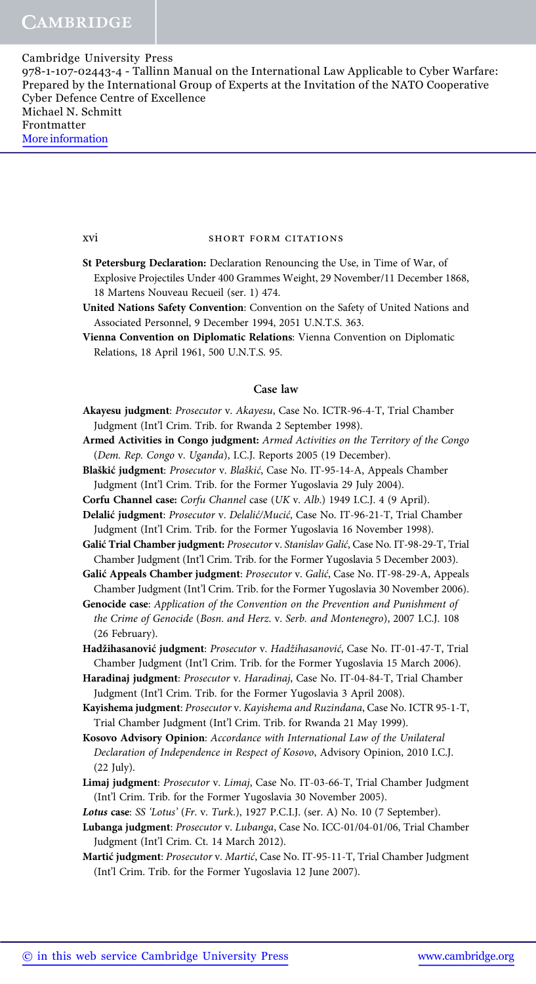978-1-107-02443-4 - Tallinn Manual on the International Law Applicable to Cyber Warfare: Prepared by the International Group of Experts at the Invitation of the NATO Cooperative Cyber Defence Centre of Excellence Michael N. Schmitt Frontmatter More information

#### xvi SHORT FORM CITATIONS

- St Petersburg Declaration: Declaration Renouncing the Use, in Time of War, of Explosive Projectiles Under 400 Grammes Weight, 29 November/11 December 1868, 18 Martens Nouveau Recueil (ser. 1) 474.
- United Nations Safety Convention: Convention on the Safety of United Nations and Associated Personnel, 9 December 1994, 2051 U.N.T.S. 363.
- Vienna Convention on Diplomatic Relations: Vienna Convention on Diplomatic Relations, 18 April 1961, 500 U.N.T.S. 95.

#### Case law

- Akayesu judgment: Prosecutor v. Akayesu, Case No. ICTR-96-4-T, Trial Chamber Judgment (Int'l Crim. Trib. for Rwanda 2 September 1998).
- Armed Activities in Congo judgment: Armed Activities on the Territory of the Congo (Dem. Rep. Congo v. Uganda), I.C.J. Reports 2005 (19 December).
- Blaškić judgment: Prosecutor v. Blaškić, Case No. IT-95-14-A, Appeals Chamber Judgment (Int'l Crim. Trib. for the Former Yugoslavia 29 July 2004).
- Corfu Channel case: Corfu Channel case (UK v. Alb.) 1949 I.C.J. 4 (9 April).
- Delalić judgment: Prosecutor v. Delalić/Mucić, Case No. IT-96-21-T, Trial Chamber Judgment (Int'l Crim. Trib. for the Former Yugoslavia 16 November 1998).
- Galić Trial Chamber judgment: Prosecutor v. Stanislav Galić, Case No. IT-98-29-T, Trial Chamber Judgment (Int'l Crim. Trib. for the Former Yugoslavia 5 December 2003).
- Galić Appeals Chamber judgment: Prosecutor v. Galić, Case No. IT-98-29-A, Appeals Chamber Judgment (Int'l Crim. Trib. for the Former Yugoslavia 30 November 2006).
- Genocide case: Application of the Convention on the Prevention and Punishment of the Crime of Genocide (Bosn. and Herz. v. Serb. and Montenegro), 2007 I.C.J. 108 (26 February).
- Hadžihasanović judgment: Prosecutor v. Hadžihasanović, Case No. IT-01-47-T, Trial Chamber Judgment (Int'l Crim. Trib. for the Former Yugoslavia 15 March 2006).
- Haradinaj judgment: Prosecutor v. Haradinaj, Case No. IT-04-84-T, Trial Chamber Judgment (Int'l Crim. Trib. for the Former Yugoslavia 3 April 2008).
- Kayishema judgment: Prosecutor v. Kayishema and Ruzindana, Case No. ICTR 95-1-T, Trial Chamber Judgment (Int'l Crim. Trib. for Rwanda 21 May 1999).
- Kosovo Advisory Opinion: Accordance with International Law of the Unilateral Declaration of Independence in Respect of Kosovo, Advisory Opinion, 2010 I.C.J. (22 July).
- Limaj judgment: Prosecutor v. Limaj, Case No. IT-03-66-T, Trial Chamber Judgment (Int'l Crim. Trib. for the Former Yugoslavia 30 November 2005).
- Lotus case: SS 'Lotus' (Fr. v. Turk.), 1927 P.C.I.J. (ser. A) No. 10 (7 September).
- Lubanga judgment: Prosecutor v. Lubanga, Case No. ICC-01/04-01/06, Trial Chamber Judgment (Int'l Crim. Ct. 14 March 2012).
- Martić judgment: Prosecutor v. Martić, Case No. IT-95-11-T, Trial Chamber Judgment (Int'l Crim. Trib. for the Former Yugoslavia 12 June 2007).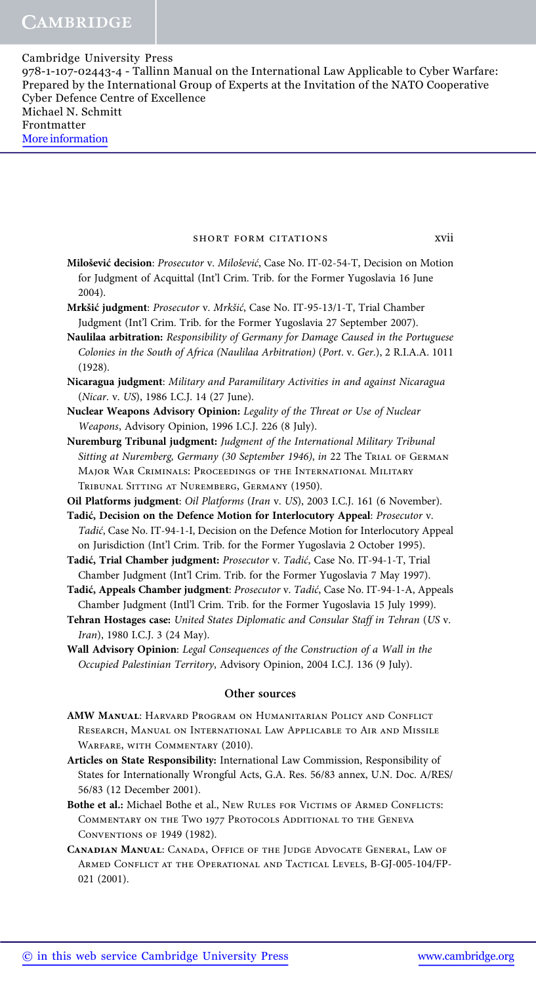978-1-107-02443-4 - Tallinn Manual on the International Law Applicable to Cyber Warfare: Prepared by the International Group of Experts at the Invitation of the NATO Cooperative Cyber Defence Centre of Excellence Michael N. Schmitt Frontmatter More information

#### short form citations xvii

- Milošević decision: Prosecutor v. Milošević, Case No. IT-02-54-T, Decision on Motion for Judgment of Acquittal (Int'l Crim. Trib. for the Former Yugoslavia 16 June 2004).
- Mrkšić judgment: Prosecutor v. Mrkšić, Case No. IT-95-13/1-T, Trial Chamber Judgment (Int'l Crim. Trib. for the Former Yugoslavia 27 September 2007).
- Naulilaa arbitration: Responsibility of Germany for Damage Caused in the Portuguese Colonies in the South of Africa (Naulilaa Arbitration) (Port. v. Ger.), 2 R.I.A.A. 1011 (1928).
- Nicaragua judgment: Military and Paramilitary Activities in and against Nicaragua (Nicar. v. US), 1986 I.C.J. 14 (27 June).
- Nuclear Weapons Advisory Opinion: Legality of the Threat or Use of Nuclear Weapons, Advisory Opinion, 1996 I.C.J. 226 (8 July).
- Nuremburg Tribunal judgment: Judgment of the International Military Tribunal Sitting at Nuremberg, Germany (30 September 1946), in 22 The TRIAL OF GERMAN Major War Criminals: Proceedings of the International Military Tribunal Sitting at Nuremberg, Germany (1950).

Oil Platforms judgment: Oil Platforms (Iran v. US), 2003 I.C.J. 161 (6 November).

- Tadić, Decision on the Defence Motion for Interlocutory Appeal: Prosecutor v. Tadić, Case No. IT-94-1-I, Decision on the Defence Motion for Interlocutory Appeal on Jurisdiction (Int'l Crim. Trib. for the Former Yugoslavia 2 October 1995).
- Tadić, Trial Chamber judgment: Prosecutor v. Tadić, Case No. IT-94-1-T, Trial Chamber Judgment (Int'l Crim. Trib. for the Former Yugoslavia 7 May 1997).
- Tadić, Appeals Chamber judgment: Prosecutor v. Tadić, Case No. IT-94-1-A, Appeals Chamber Judgment (Intl'l Crim. Trib. for the Former Yugoslavia 15 July 1999).
- Tehran Hostages case: United States Diplomatic and Consular Staff in Tehran (US v. Iran), 1980 I.C.J. 3 (24 May).
- Wall Advisory Opinion: Legal Consequences of the Construction of a Wall in the Occupied Palestinian Territory, Advisory Opinion, 2004 I.C.J. 136 (9 July).

#### Other sources

- AMW Manual: Harvard Program on Humanitarian Policy and Conflict Research, Manual on International Law Applicable to Air and Missile Warfare, with Commentary (2010).
- Articles on State Responsibility: International Law Commission, Responsibility of States for Internationally Wrongful Acts, G.A. Res. 56/83 annex, U.N. Doc. A/RES/ 56/83 (12 December 2001).
- Bothe et al.: Michael Bothe et al., New Rules for VICTIMS OF ARMED CONFLICTS: COMMENTARY ON THE TWO 1977 PROTOCOLS ADDITIONAL TO THE GENEVA Conventions of 1949 (1982).
- Canadian Manual: Canada, Office of the Judge Advocate General, Law of Armed Conflict at the Operational and Tactical Levels, B-GJ-005-104/FP-021 (2001).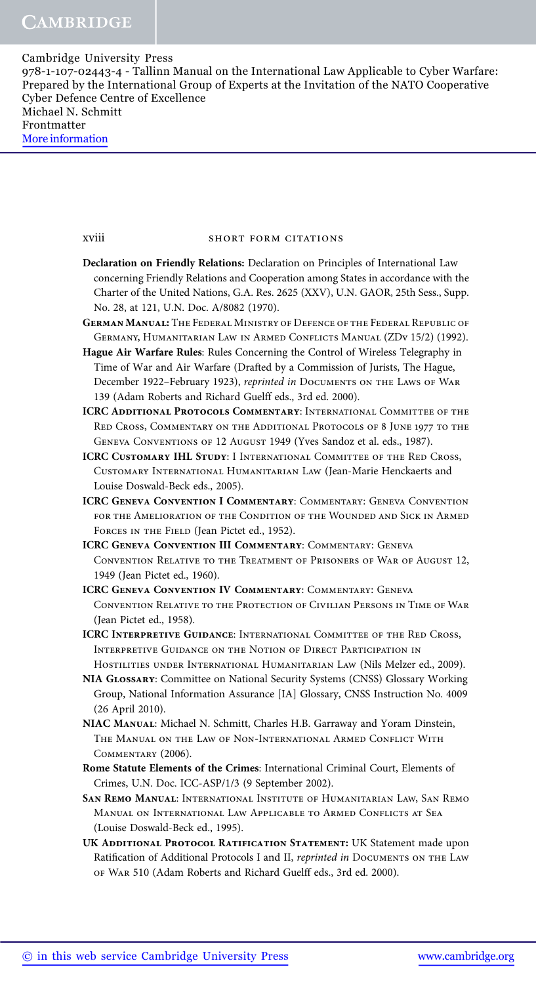978-1-107-02443-4 - Tallinn Manual on the International Law Applicable to Cyber Warfare: Prepared by the International Group of Experts at the Invitation of the NATO Cooperative Cyber Defence Centre of Excellence Michael N. Schmitt Frontmatter More information

# xviii SHORT FORM CITATIONS

- Declaration on Friendly Relations: Declaration on Principles of International Law concerning Friendly Relations and Cooperation among States in accordance with the Charter of the United Nations, G.A. Res. 2625 (XXV), U.N. GAOR, 25th Sess., Supp. No. 28, at 121, U.N. Doc. A/8082 (1970).
- German Manual: The Federal Ministry of Defence of the Federal Republic of Germany, Humanitarian Law in Armed Conflicts Manual (ZDv 15/2) (1992).
- Hague Air Warfare Rules: Rules Concerning the Control of Wireless Telegraphy in Time of War and Air Warfare (Drafted by a Commission of Jurists, The Hague, December 1922-February 1923), reprinted in DOCUMENTS ON THE LAWS OF WAR 139 (Adam Roberts and Richard Guelff eds., 3rd ed. 2000).
- ICRC Additional Protocols Commentary: International Committee of the Red Cross, Commentary on the Additional Protocols of 8 June 1977 to the Geneva Conventions of 12 August 1949 (Yves Sandoz et al. eds., 1987).
- ICRC CUSTOMARY IHL STUDY: I INTERNATIONAL COMMITTEE OF THE RED CROSS, Customary International Humanitarian Law (Jean-Marie Henckaerts and Louise Doswald-Beck eds., 2005).
- ICRC GENEVA CONVENTION I COMMENTARY: COMMENTARY: GENEVA CONVENTION for the Amelioration of the Condition of the Wounded and Sick in Armed FORCES IN THE FIELD (Jean Pictet ed., 1952).
- ICRC Geneva Convention III Commentary: Commentary: Geneva Convention Relative to the Treatment of Prisoners of War of August 12, 1949 (Jean Pictet ed., 1960).
- ICRC Geneva Convention IV Commentary: Commentary: Geneva Convention Relative to the Protection of Civilian Persons in Time of War (Jean Pictet ed., 1958).
- ICRC Interpretive Guidance: International Committee of the Red Cross, Interpretive Guidance on the Notion of Direct Participation in Hostilities under International Humanitarian Law (Nils Melzer ed., 2009).
- NIA Glossary: Committee on National Security Systems (CNSS) Glossary Working Group, National Information Assurance [IA] Glossary, CNSS Instruction No. 4009 (26 April 2010).
- NIAC Manual: Michael N. Schmitt, Charles H.B. Garraway and Yoram Dinstein, The Manual on the Law of Non-International Armed Conflict With COMMENTARY (2006).
- Rome Statute Elements of the Crimes: International Criminal Court, Elements of Crimes, U.N. Doc. ICC-ASP/1/3 (9 September 2002).
- San Remo Manual: International Institute of Humanitarian Law, San Remo Manual on International Law Applicable to Armed Conflicts at Sea (Louise Doswald-Beck ed., 1995).
- UK Additional Protocol Ratification Statement: UK Statement made upon Ratification of Additional Protocols I and II, reprinted in DOCUMENTS ON THE LAW of War 510 (Adam Roberts and Richard Guelff eds., 3rd ed. 2000).